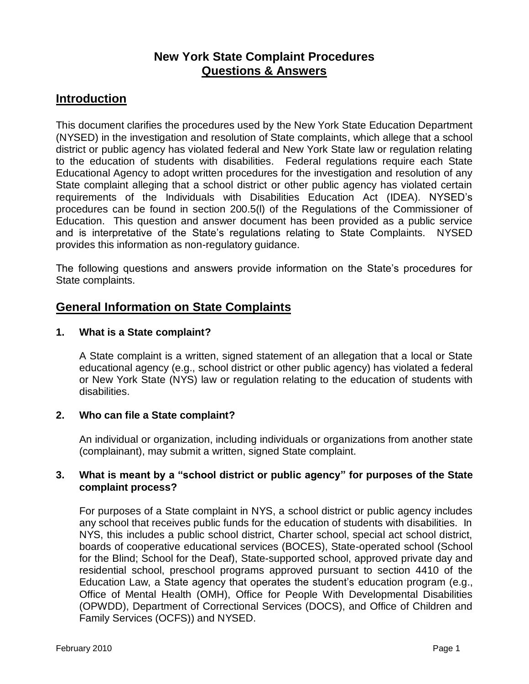# **New York State Complaint Procedures Questions & Answers**

# **Introduction**

This document clarifies the procedures used by the New York State Education Department (NYSED) in the investigation and resolution of State complaints, which allege that a school district or public agency has violated federal and New York State law or regulation relating to the education of students with disabilities. Federal regulations require each State Educational Agency to adopt written procedures for the investigation and resolution of any State complaint alleging that a school district or other public agency has violated certain requirements of the Individuals with Disabilities Education Act (IDEA). NYSED's procedures can be found in section 200.5(l) of the Regulations of the Commissioner of Education. This question and answer document has been provided as a public service and is interpretative of the State's regulations relating to State Complaints. NYSED provides this information as non-regulatory guidance.

The following questions and answers provide information on the State's procedures for State complaints.

# **General Information on State Complaints**

### **1. What is a State complaint?**

A State complaint is a written, signed statement of an allegation that a local or State educational agency (e.g., school district or other public agency) has violated a federal or New York State (NYS) law or regulation relating to the education of students with disabilities.

## **2. Who can file a State complaint?**

An individual or organization, including individuals or organizations from another state (complainant), may submit a written, signed State complaint.

### **3. What is meant by a "school district or public agency" for purposes of the State complaint process?**

For purposes of a State complaint in NYS, a school district or public agency includes any school that receives public funds for the education of students with disabilities. In NYS, this includes a public school district, Charter school, special act school district, boards of cooperative educational services (BOCES), State-operated school (School for the Blind; School for the Deaf), State-supported school, approved private day and residential school, preschool programs approved pursuant to section 4410 of the Education Law, a State agency that operates the student's education program (e.g., Office of Mental Health (OMH), Office for People With Developmental Disabilities (OPWDD), Department of Correctional Services (DOCS), and Office of Children and Family Services (OCFS)) and NYSED.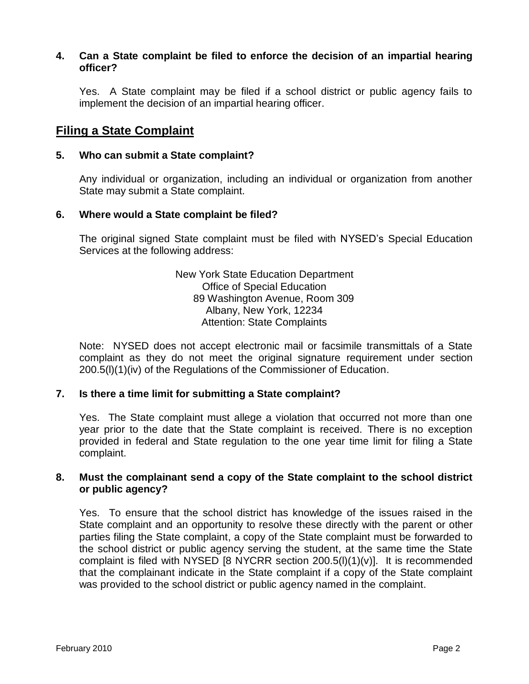#### **4. Can a State complaint be filed to enforce the decision of an impartial hearing officer?**

Yes. A State complaint may be filed if a school district or public agency fails to implement the decision of an impartial hearing officer.

## **Filing a State Complaint**

#### **5. Who can submit a State complaint?**

Any individual or organization, including an individual or organization from another State may submit a State complaint.

### **6. Where would a State complaint be filed?**

The original signed State complaint must be filed with NYSED's Special Education Services at the following address:

> New York State Education Department Office of Special Education 89 Washington Avenue, Room 309 Albany, New York, 12234 Attention: State Complaints

Note: NYSED does not accept electronic mail or facsimile transmittals of a State complaint as they do not meet the original signature requirement under section 200.5(l)(1)(iv) of the Regulations of the Commissioner of Education.

### **7. Is there a time limit for submitting a State complaint?**

Yes. The State complaint must allege a violation that occurred not more than one year prior to the date that the State complaint is received. There is no exception provided in federal and State regulation to the one year time limit for filing a State complaint.

### **8. Must the complainant send a copy of the State complaint to the school district or public agency?**

Yes. To ensure that the school district has knowledge of the issues raised in the State complaint and an opportunity to resolve these directly with the parent or other parties filing the State complaint, a copy of the State complaint must be forwarded to the school district or public agency serving the student, at the same time the State complaint is filed with NYSED [8 NYCRR section  $200.5(1)(1)(v)$ ]. It is recommended that the complainant indicate in the State complaint if a copy of the State complaint was provided to the school district or public agency named in the complaint.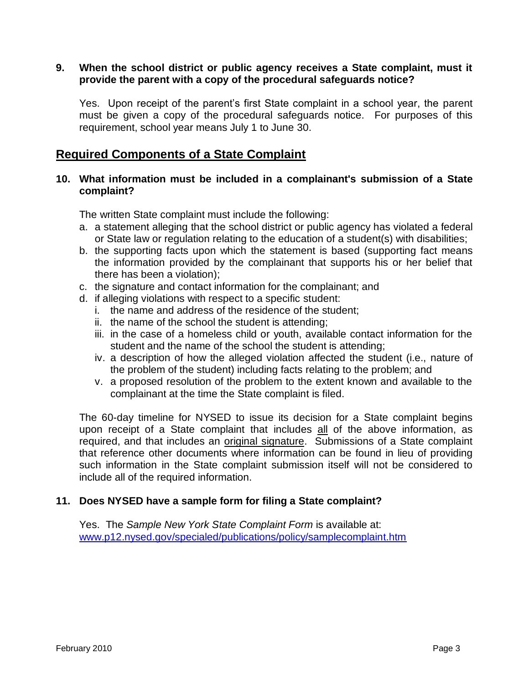### **9. When the school district or public agency receives a State complaint, must it provide the parent with a copy of the procedural safeguards notice?**

Yes. Upon receipt of the parent's first State complaint in a school year, the parent must be given a copy of the procedural safeguards notice. For purposes of this requirement, school year means July 1 to June 30.

# **Required Components of a State Complaint**

### **10. What information must be included in a complainant's submission of a State complaint?**

The written State complaint must include the following:

- a. a statement alleging that the school district or public agency has violated a federal or State law or regulation relating to the education of a student(s) with disabilities;
- b. the supporting facts upon which the statement is based (supporting fact means the information provided by the complainant that supports his or her belief that there has been a violation);
- c. the signature and contact information for the complainant; and
- d. if alleging violations with respect to a specific student:
	- i. the name and address of the residence of the student;
	- ii. the name of the school the student is attending;
	- iii. in the case of a homeless child or youth, available contact information for the student and the name of the school the student is attending;
	- iv. a description of how the alleged violation affected the student (i.e., nature of the problem of the student) including facts relating to the problem; and
	- v. a proposed resolution of the problem to the extent known and available to the complainant at the time the State complaint is filed.

The 60-day timeline for NYSED to issue its decision for a State complaint begins upon receipt of a State complaint that includes all of the above information, as required, and that includes an original signature. Submissions of a State complaint that reference other documents where information can be found in lieu of providing such information in the State complaint submission itself will not be considered to include all of the required information.

### **11. Does NYSED have a sample form for filing a State complaint?**

Yes. The *Sample New York State Complaint Form* is available at: [www.p12.nysed.gov/specialed/publications/policy/samplecomplaint.htm](http://www.p12.nysed.gov/specialed/publications/policy/samplecomplaint.htm)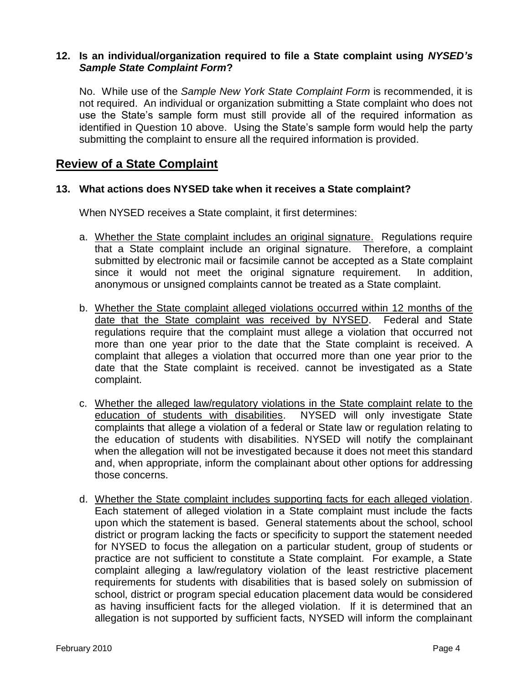### **12. Is an individual/organization required to file a State complaint using** *NYSED's Sample State Complaint Form***?**

No. While use of the *Sample New York State Complaint Form* is recommended, it is not required. An individual or organization submitting a State complaint who does not use the State's sample form must still provide all of the required information as identified in Question 10 above. Using the State's sample form would help the party submitting the complaint to ensure all the required information is provided.

## **Review of a State Complaint**

### **13. What actions does NYSED take when it receives a State complaint?**

When NYSED receives a State complaint, it first determines:

- a. Whether the State complaint includes an original signature. Regulations require that a State complaint include an original signature. Therefore, a complaint submitted by electronic mail or facsimile cannot be accepted as a State complaint since it would not meet the original signature requirement. In addition, anonymous or unsigned complaints cannot be treated as a State complaint.
- b. Whether the State complaint alleged violations occurred within 12 months of the date that the State complaint was received by NYSED. Federal and State regulations require that the complaint must allege a violation that occurred not more than one year prior to the date that the State complaint is received. A complaint that alleges a violation that occurred more than one year prior to the date that the State complaint is received. cannot be investigated as a State complaint.
- c. Whether the alleged law/regulatory violations in the State complaint relate to the education of students with disabilities. NYSED will only investigate State complaints that allege a violation of a federal or State law or regulation relating to the education of students with disabilities. NYSED will notify the complainant when the allegation will not be investigated because it does not meet this standard and, when appropriate, inform the complainant about other options for addressing those concerns.
- d. Whether the State complaint includes supporting facts for each alleged violation. Each statement of alleged violation in a State complaint must include the facts upon which the statement is based. General statements about the school, school district or program lacking the facts or specificity to support the statement needed for NYSED to focus the allegation on a particular student, group of students or practice are not sufficient to constitute a State complaint. For example, a State complaint alleging a law/regulatory violation of the least restrictive placement requirements for students with disabilities that is based solely on submission of school, district or program special education placement data would be considered as having insufficient facts for the alleged violation. If it is determined that an allegation is not supported by sufficient facts, NYSED will inform the complainant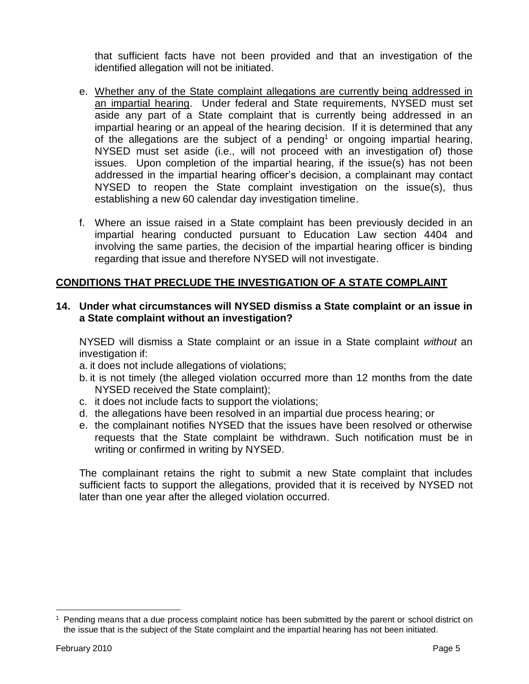that sufficient facts have not been provided and that an investigation of the identified allegation will not be initiated.

- e. Whether any of the State complaint allegations are currently being addressed in an impartial hearing. Under federal and State requirements, NYSED must set aside any part of a State complaint that is currently being addressed in an impartial hearing or an appeal of the hearing decision. If it is determined that any of the allegations are the subject of a pending<sup>1</sup> or ongoing impartial hearing, NYSED must set aside (i.e., will not proceed with an investigation of) those issues. Upon completion of the impartial hearing, if the issue(s) has not been addressed in the impartial hearing officer's decision, a complainant may contact NYSED to reopen the State complaint investigation on the issue(s), thus establishing a new 60 calendar day investigation timeline.
- f. Where an issue raised in a State complaint has been previously decided in an impartial hearing conducted pursuant to Education Law section 4404 and involving the same parties, the decision of the impartial hearing officer is binding regarding that issue and therefore NYSED will not investigate.

### **CONDITIONS THAT PRECLUDE THE INVESTIGATION OF A STATE COMPLAINT**

### **14. Under what circumstances will NYSED dismiss a State complaint or an issue in a State complaint without an investigation?**

NYSED will dismiss a State complaint or an issue in a State complaint *without* an investigation if:

- a. it does not include allegations of violations;
- b. it is not timely (the alleged violation occurred more than 12 months from the date NYSED received the State complaint);
- c. it does not include facts to support the violations;
- d. the allegations have been resolved in an impartial due process hearing; or
- e. the complainant notifies NYSED that the issues have been resolved or otherwise requests that the State complaint be withdrawn. Such notification must be in writing or confirmed in writing by NYSED.

The complainant retains the right to submit a new State complaint that includes sufficient facts to support the allegations, provided that it is received by NYSED not later than one year after the alleged violation occurred.

 $\overline{a}$ 

 $<sup>1</sup>$  Pending means that a due process complaint notice has been submitted by the parent or school district on</sup> the issue that is the subject of the State complaint and the impartial hearing has not been initiated.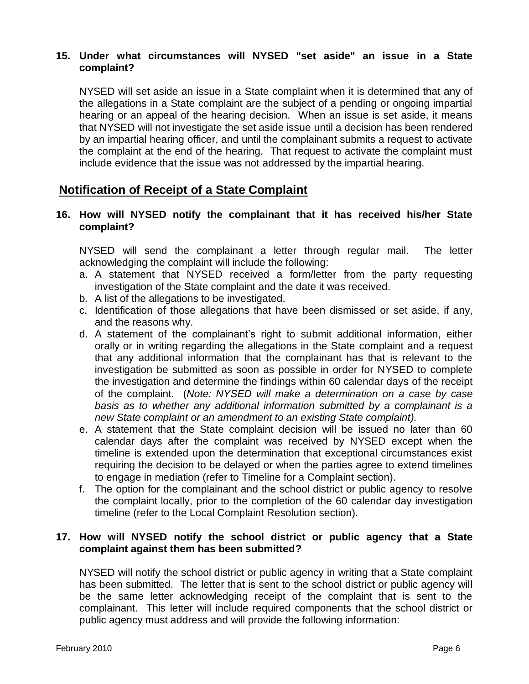### **15. Under what circumstances will NYSED "set aside" an issue in a State complaint?**

NYSED will set aside an issue in a State complaint when it is determined that any of the allegations in a State complaint are the subject of a pending or ongoing impartial hearing or an appeal of the hearing decision. When an issue is set aside, it means that NYSED will not investigate the set aside issue until a decision has been rendered by an impartial hearing officer, and until the complainant submits a request to activate the complaint at the end of the hearing. That request to activate the complaint must include evidence that the issue was not addressed by the impartial hearing.

## **Notification of Receipt of a State Complaint**

### **16. How will NYSED notify the complainant that it has received his/her State complaint?**

NYSED will send the complainant a letter through regular mail. The letter acknowledging the complaint will include the following:

- a. A statement that NYSED received a form/letter from the party requesting investigation of the State complaint and the date it was received.
- b. A list of the allegations to be investigated.
- c. Identification of those allegations that have been dismissed or set aside, if any, and the reasons why.
- d. A statement of the complainant's right to submit additional information, either orally or in writing regarding the allegations in the State complaint and a request that any additional information that the complainant has that is relevant to the investigation be submitted as soon as possible in order for NYSED to complete the investigation and determine the findings within 60 calendar days of the receipt of the complaint. (*Note: NYSED will make a determination on a case by case basis as to whether any additional information submitted by a complainant is a new State complaint or an amendment to an existing State complaint).*
- e. A statement that the State complaint decision will be issued no later than 60 calendar days after the complaint was received by NYSED except when the timeline is extended upon the determination that exceptional circumstances exist requiring the decision to be delayed or when the parties agree to extend timelines to engage in mediation (refer to Timeline for a Complaint section).
- f. The option for the complainant and the school district or public agency to resolve the complaint locally, prior to the completion of the 60 calendar day investigation timeline (refer to the Local Complaint Resolution section).

### **17. How will NYSED notify the school district or public agency that a State complaint against them has been submitted?**

NYSED will notify the school district or public agency in writing that a State complaint has been submitted. The letter that is sent to the school district or public agency will be the same letter acknowledging receipt of the complaint that is sent to the complainant. This letter will include required components that the school district or public agency must address and will provide the following information: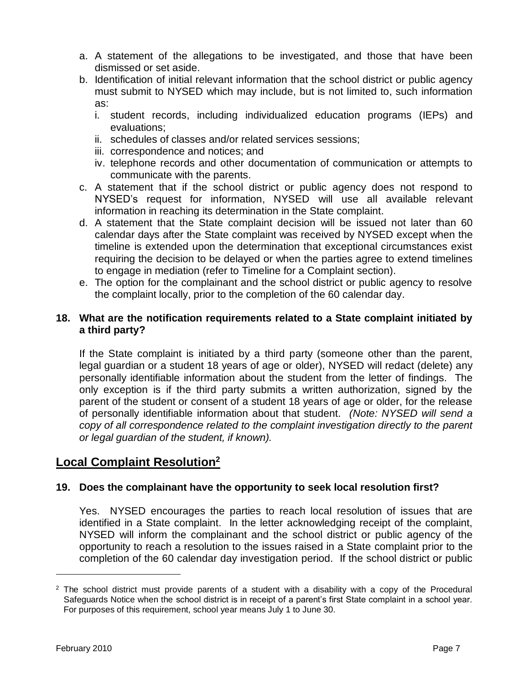- a. A statement of the allegations to be investigated, and those that have been dismissed or set aside.
- b. Identification of initial relevant information that the school district or public agency must submit to NYSED which may include, but is not limited to, such information as:
	- i. student records, including individualized education programs (IEPs) and evaluations;
	- ii. schedules of classes and/or related services sessions;
	- iii. correspondence and notices; and
	- iv. telephone records and other documentation of communication or attempts to communicate with the parents.
- c. A statement that if the school district or public agency does not respond to NYSED's request for information, NYSED will use all available relevant information in reaching its determination in the State complaint.
- d. A statement that the State complaint decision will be issued not later than 60 calendar days after the State complaint was received by NYSED except when the timeline is extended upon the determination that exceptional circumstances exist requiring the decision to be delayed or when the parties agree to extend timelines to engage in mediation (refer to Timeline for a Complaint section).
- e. The option for the complainant and the school district or public agency to resolve the complaint locally, prior to the completion of the 60 calendar day.

### **18. What are the notification requirements related to a State complaint initiated by a third party?**

If the State complaint is initiated by a third party (someone other than the parent, legal guardian or a student 18 years of age or older), NYSED will redact (delete) any personally identifiable information about the student from the letter of findings. The only exception is if the third party submits a written authorization, signed by the parent of the student or consent of a student 18 years of age or older, for the release of personally identifiable information about that student. *(Note: NYSED will send a copy of all correspondence related to the complaint investigation directly to the parent or legal guardian of the student, if known).*

# **Local Complaint Resolution<sup>2</sup>**

## **19. Does the complainant have the opportunity to seek local resolution first?**

Yes. NYSED encourages the parties to reach local resolution of issues that are identified in a State complaint. In the letter acknowledging receipt of the complaint, NYSED will inform the complainant and the school district or public agency of the opportunity to reach a resolution to the issues raised in a State complaint prior to the completion of the 60 calendar day investigation period. If the school district or public

 $\overline{a}$ 

 $2$  The school district must provide parents of a student with a disability with a copy of the Procedural Safeguards Notice when the school district is in receipt of a parent's first State complaint in a school year. For purposes of this requirement, school year means July 1 to June 30.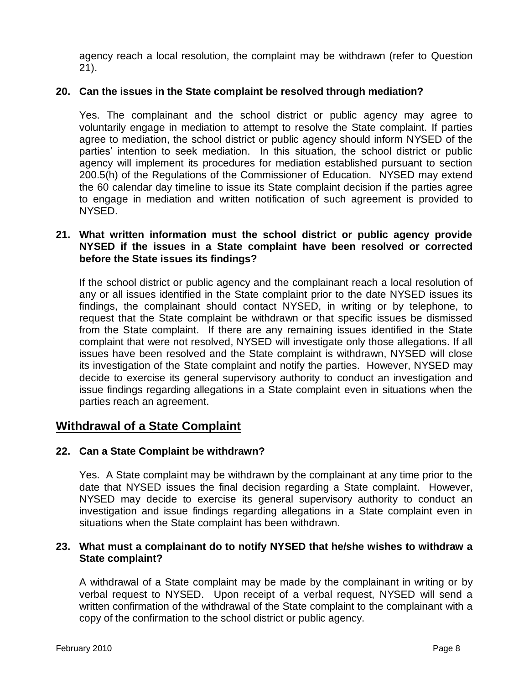agency reach a local resolution, the complaint may be withdrawn (refer to Question 21).

### **20. Can the issues in the State complaint be resolved through mediation?**

Yes. The complainant and the school district or public agency may agree to voluntarily engage in mediation to attempt to resolve the State complaint. If parties agree to mediation, the school district or public agency should inform NYSED of the parties' intention to seek mediation. In this situation, the school district or public agency will implement its procedures for mediation established pursuant to section 200.5(h) of the Regulations of the Commissioner of Education. NYSED may extend the 60 calendar day timeline to issue its State complaint decision if the parties agree to engage in mediation and written notification of such agreement is provided to NYSED.

### **21. What written information must the school district or public agency provide NYSED if the issues in a State complaint have been resolved or corrected before the State issues its findings?**

If the school district or public agency and the complainant reach a local resolution of any or all issues identified in the State complaint prior to the date NYSED issues its findings, the complainant should contact NYSED, in writing or by telephone, to request that the State complaint be withdrawn or that specific issues be dismissed from the State complaint. If there are any remaining issues identified in the State complaint that were not resolved, NYSED will investigate only those allegations. If all issues have been resolved and the State complaint is withdrawn, NYSED will close its investigation of the State complaint and notify the parties. However, NYSED may decide to exercise its general supervisory authority to conduct an investigation and issue findings regarding allegations in a State complaint even in situations when the parties reach an agreement.

## **Withdrawal of a State Complaint**

#### **22. Can a State Complaint be withdrawn?**

Yes. A State complaint may be withdrawn by the complainant at any time prior to the date that NYSED issues the final decision regarding a State complaint. However, NYSED may decide to exercise its general supervisory authority to conduct an investigation and issue findings regarding allegations in a State complaint even in situations when the State complaint has been withdrawn.

#### **23. What must a complainant do to notify NYSED that he/she wishes to withdraw a State complaint?**

A withdrawal of a State complaint may be made by the complainant in writing or by verbal request to NYSED. Upon receipt of a verbal request, NYSED will send a written confirmation of the withdrawal of the State complaint to the complainant with a copy of the confirmation to the school district or public agency.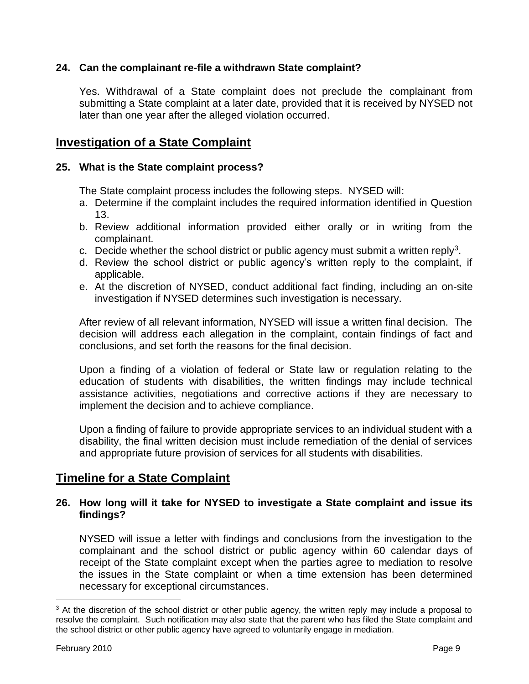### **24. Can the complainant re-file a withdrawn State complaint?**

Yes. Withdrawal of a State complaint does not preclude the complainant from submitting a State complaint at a later date, provided that it is received by NYSED not later than one year after the alleged violation occurred.

## **Investigation of a State Complaint**

### **25. What is the State complaint process?**

The State complaint process includes the following steps. NYSED will:

- a. Determine if the complaint includes the required information identified in Question 13.
- b. Review additional information provided either orally or in writing from the complainant.
- c. Decide whether the school district or public agency must submit a written reply<sup>3</sup>.
- d. Review the school district or public agency's written reply to the complaint, if applicable.
- e. At the discretion of NYSED, conduct additional fact finding, including an on-site investigation if NYSED determines such investigation is necessary.

After review of all relevant information, NYSED will issue a written final decision. The decision will address each allegation in the complaint, contain findings of fact and conclusions, and set forth the reasons for the final decision.

Upon a finding of a violation of federal or State law or regulation relating to the education of students with disabilities, the written findings may include technical assistance activities, negotiations and corrective actions if they are necessary to implement the decision and to achieve compliance.

Upon a finding of failure to provide appropriate services to an individual student with a disability, the final written decision must include remediation of the denial of services and appropriate future provision of services for all students with disabilities.

## **Timeline for a State Complaint**

### **26. How long will it take for NYSED to investigate a State complaint and issue its findings?**

NYSED will issue a letter with findings and conclusions from the investigation to the complainant and the school district or public agency within 60 calendar days of receipt of the State complaint except when the parties agree to mediation to resolve the issues in the State complaint or when a time extension has been determined necessary for exceptional circumstances.

 $\overline{a}$ 

 $3$  At the discretion of the school district or other public agency, the written reply may include a proposal to resolve the complaint. Such notification may also state that the parent who has filed the State complaint and the school district or other public agency have agreed to voluntarily engage in mediation.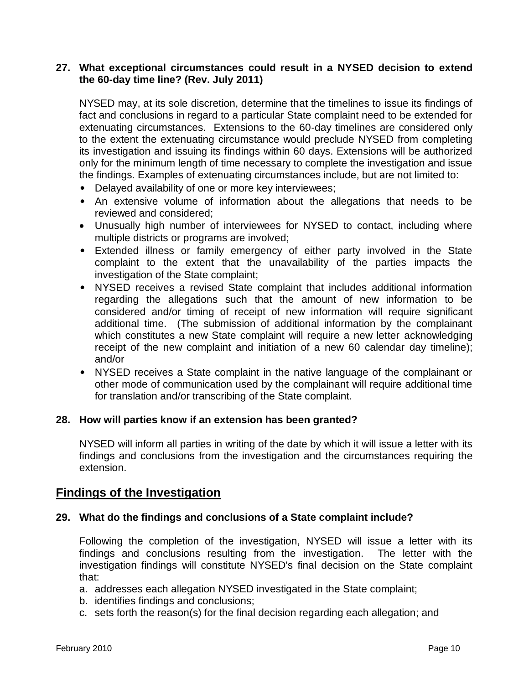### **27. What exceptional circumstances could result in a NYSED decision to extend the 60-day time line? (Rev. July 2011)**

NYSED may, at its sole discretion, determine that the timelines to issue its findings of fact and conclusions in regard to a particular State complaint need to be extended for extenuating circumstances. Extensions to the 60-day timelines are considered only to the extent the extenuating circumstance would preclude NYSED from completing its investigation and issuing its findings within 60 days. Extensions will be authorized only for the minimum length of time necessary to complete the investigation and issue the findings. Examples of extenuating circumstances include, but are not limited to:

- Delayed availability of one or more key interviewees;
- An extensive volume of information about the allegations that needs to be reviewed and considered;
- Unusually high number of interviewees for NYSED to contact, including where multiple districts or programs are involved;
- Extended illness or family emergency of either party involved in the State complaint to the extent that the unavailability of the parties impacts the investigation of the State complaint;
- NYSED receives a revised State complaint that includes additional information regarding the allegations such that the amount of new information to be considered and/or timing of receipt of new information will require significant additional time. (The submission of additional information by the complainant which constitutes a new State complaint will require a new letter acknowledging receipt of the new complaint and initiation of a new 60 calendar day timeline); and/or
- NYSED receives a State complaint in the native language of the complainant or other mode of communication used by the complainant will require additional time for translation and/or transcribing of the State complaint.

#### **28. How will parties know if an extension has been granted?**

NYSED will inform all parties in writing of the date by which it will issue a letter with its findings and conclusions from the investigation and the circumstances requiring the extension.

## **Findings of the Investigation**

#### **29. What do the findings and conclusions of a State complaint include?**

Following the completion of the investigation, NYSED will issue a letter with its findings and conclusions resulting from the investigation. The letter with the investigation findings will constitute NYSED's final decision on the State complaint that:

- a. addresses each allegation NYSED investigated in the State complaint;
- b. identifies findings and conclusions;
- c. sets forth the reason(s) for the final decision regarding each allegation; and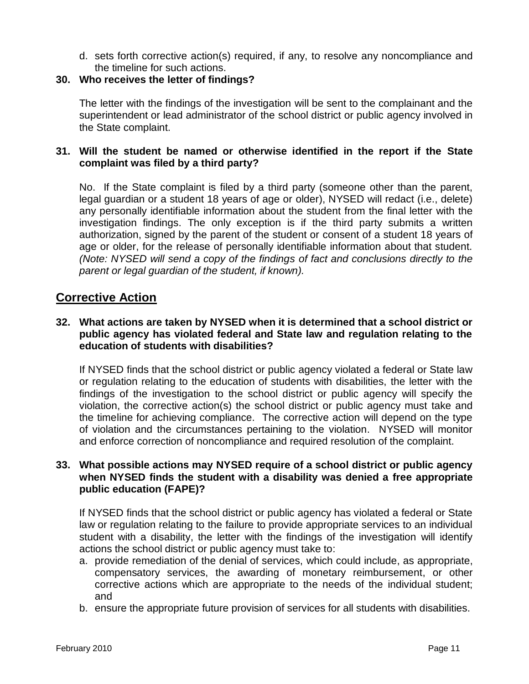d. sets forth corrective action(s) required, if any, to resolve any noncompliance and the timeline for such actions.

### **30. Who receives the letter of findings?**

The letter with the findings of the investigation will be sent to the complainant and the superintendent or lead administrator of the school district or public agency involved in the State complaint.

### **31. Will the student be named or otherwise identified in the report if the State complaint was filed by a third party?**

No. If the State complaint is filed by a third party (someone other than the parent, legal guardian or a student 18 years of age or older), NYSED will redact (i.e., delete) any personally identifiable information about the student from the final letter with the investigation findings. The only exception is if the third party submits a written authorization, signed by the parent of the student or consent of a student 18 years of age or older, for the release of personally identifiable information about that student. *(Note: NYSED will send a copy of the findings of fact and conclusions directly to the parent or legal guardian of the student, if known).*

## **Corrective Action**

### **32. What actions are taken by NYSED when it is determined that a school district or public agency has violated federal and State law and regulation relating to the education of students with disabilities?**

If NYSED finds that the school district or public agency violated a federal or State law or regulation relating to the education of students with disabilities, the letter with the findings of the investigation to the school district or public agency will specify the violation, the corrective action(s) the school district or public agency must take and the timeline for achieving compliance. The corrective action will depend on the type of violation and the circumstances pertaining to the violation. NYSED will monitor and enforce correction of noncompliance and required resolution of the complaint.

### **33. What possible actions may NYSED require of a school district or public agency when NYSED finds the student with a disability was denied a free appropriate public education (FAPE)?**

If NYSED finds that the school district or public agency has violated a federal or State law or regulation relating to the failure to provide appropriate services to an individual student with a disability, the letter with the findings of the investigation will identify actions the school district or public agency must take to:

- a. provide remediation of the denial of services, which could include, as appropriate, compensatory services, the awarding of monetary reimbursement, or other corrective actions which are appropriate to the needs of the individual student; and
- b. ensure the appropriate future provision of services for all students with disabilities.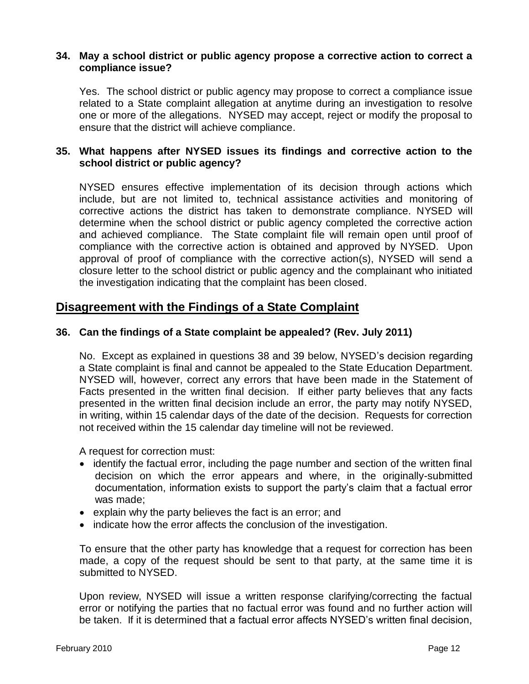#### **34. May a school district or public agency propose a corrective action to correct a compliance issue?**

Yes. The school district or public agency may propose to correct a compliance issue related to a State complaint allegation at anytime during an investigation to resolve one or more of the allegations. NYSED may accept, reject or modify the proposal to ensure that the district will achieve compliance.

### **35. What happens after NYSED issues its findings and corrective action to the school district or public agency?**

NYSED ensures effective implementation of its decision through actions which include, but are not limited to, technical assistance activities and monitoring of corrective actions the district has taken to demonstrate compliance. NYSED will determine when the school district or public agency completed the corrective action and achieved compliance. The State complaint file will remain open until proof of compliance with the corrective action is obtained and approved by NYSED. Upon approval of proof of compliance with the corrective action(s), NYSED will send a closure letter to the school district or public agency and the complainant who initiated the investigation indicating that the complaint has been closed.

## **Disagreement with the Findings of a State Complaint**

### **36. Can the findings of a State complaint be appealed? (Rev. July 2011)**

No. Except as explained in questions 38 and 39 below, NYSED's decision regarding a State complaint is final and cannot be appealed to the State Education Department. NYSED will, however, correct any errors that have been made in the Statement of Facts presented in the written final decision. If either party believes that any facts presented in the written final decision include an error, the party may notify NYSED, in writing, within 15 calendar days of the date of the decision. Requests for correction not received within the 15 calendar day timeline will not be reviewed.

A request for correction must:

- identify the factual error, including the page number and section of the written final decision on which the error appears and where, in the originally-submitted documentation, information exists to support the party's claim that a factual error was made;
- explain why the party believes the fact is an error; and
- indicate how the error affects the conclusion of the investigation.

To ensure that the other party has knowledge that a request for correction has been made, a copy of the request should be sent to that party, at the same time it is submitted to NYSED.

Upon review, NYSED will issue a written response clarifying/correcting the factual error or notifying the parties that no factual error was found and no further action will be taken. If it is determined that a factual error affects NYSED's written final decision,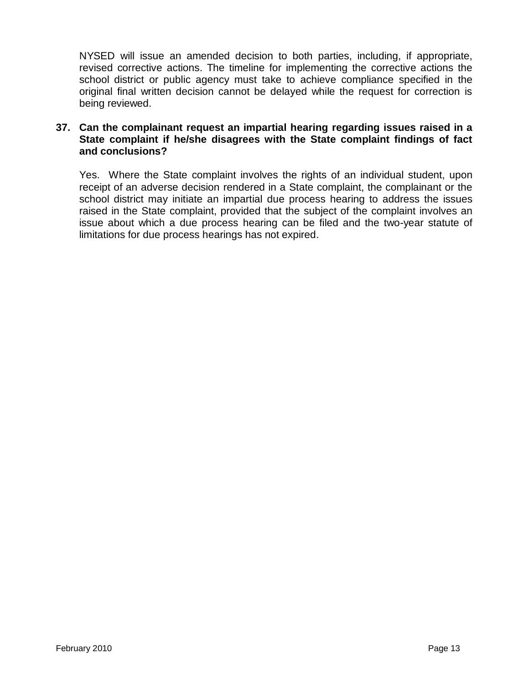NYSED will issue an amended decision to both parties, including, if appropriate, revised corrective actions. The timeline for implementing the corrective actions the school district or public agency must take to achieve compliance specified in the original final written decision cannot be delayed while the request for correction is being reviewed.

### **37. Can the complainant request an impartial hearing regarding issues raised in a State complaint if he/she disagrees with the State complaint findings of fact and conclusions?**

Yes. Where the State complaint involves the rights of an individual student, upon receipt of an adverse decision rendered in a State complaint, the complainant or the school district may initiate an impartial due process hearing to address the issues raised in the State complaint, provided that the subject of the complaint involves an issue about which a due process hearing can be filed and the two-year statute of limitations for due process hearings has not expired.